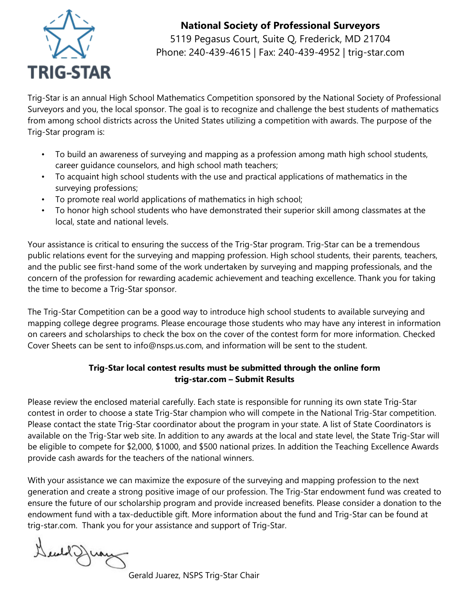

### **National Society of Professional Surveyors**

5119 Pegasus Court, Suite Q, Frederick, MD 21704 Phone: 240-439-4615 | Fax: 240-439-4952 | trig-star.com

Trig-Star is an annual High School Mathematics Competition sponsored by the National Society of Professional Surveyors and you, the local sponsor. The goal is to recognize and challenge the best students of mathematics from among school districts across the United States utilizing a competition with awards. The purpose of the Trig-Star program is:

- To build an awareness of surveying and mapping as a profession among math high school students, career guidance counselors, and high school math teachers;
- To acquaint high school students with the use and practical applications of mathematics in the surveying professions;
- To promote real world applications of mathematics in high school;
- To honor high school students who have demonstrated their superior skill among classmates at the local, state and national levels.

Your assistance is critical to ensuring the success of the Trig-Star program. Trig-Star can be a tremendous public relations event for the surveying and mapping profession. High school students, their parents, teachers, and the public see first-hand some of the work undertaken by surveying and mapping professionals, and the concern of the profession for rewarding academic achievement and teaching excellence. Thank you for taking the time to become a Trig-Star sponsor.

The Trig-Star Competition can be a good way to introduce high school students to available surveying and mapping college degree programs. Please encourage those students who may have any interest in information on careers and scholarships to check the box on the cover of the contest form for more information. Checked Cover Sheets can be sent to [info@nsps.us.com](http://trig-star.com/contact/), and information will be sent to the student.

#### **Trig-Star local contest results must be submitted through the online form [trig-star.com](http://trig-star.com/) – Submit Results**

Please review the enclosed material carefully. Each state is responsible for running its own state Trig-Star contest in order to choose a state Trig-Star champion who will compete in the National Trig-Star competition. Please contact the state Trig-Star coordinator about the program in your state. A list of State Coordinators is available on the Trig-Star web site. In addition to any awards at the local and state level, the State Trig-Star will be eligible to compete for \$2,000, \$1000, and \$500 national prizes. In addition the Teaching Excellence Awards provide cash awards for the teachers of the national winners.

With your assistance we can maximize the exposure of the surveying and mapping profession to the next generation and create a strong positive image of our profession. The Trig-Star endowment fund was created to ensure the future of our scholarship program and provide increased benefits. Please consider a donation to the endowment fund with a tax-deductible gift. More information about the fund and Trig-Star can be found at trig-star.com. Thank you for your assistance and support of Trig-Star.

Deal Juan

Gerald Juarez, NSPS Trig-Star Chair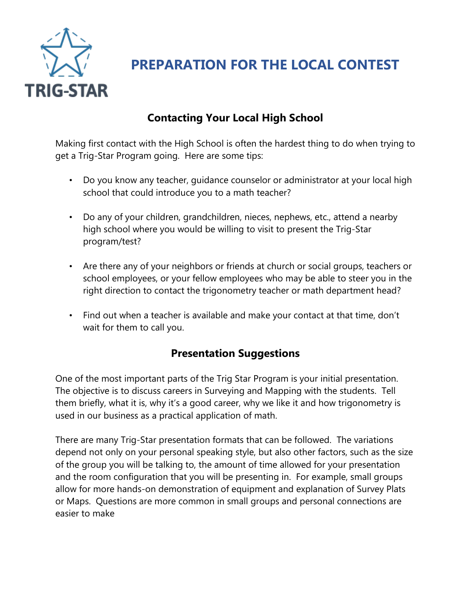

**PREPARATION FOR THE LOCAL CONTEST**

# **Contacting Your Local High School**

Making first contact with the High School is often the hardest thing to do when trying to get a Trig-Star Program going. Here are some tips:

- Do you know any teacher, guidance counselor or administrator at your local high school that could introduce you to a math teacher?
- Do any of your children, grandchildren, nieces, nephews, etc., attend a nearby high school where you would be willing to visit to present the Trig-Star program/test?
- Are there any of your neighbors or friends at church or social groups, teachers or school employees, or your fellow employees who may be able to steer you in the right direction to contact the trigonometry teacher or math department head?
- Find out when a teacher is available and make your contact at that time, don't wait for them to call you.

## **Presentation Suggestions**

One of the most important parts of the Trig Star Program is your initial presentation. The objective is to discuss careers in Surveying and Mapping with the students. Tell them briefly, what it is, why it's a good career, why we like it and how trigonometry is used in our business as a practical application of math.

There are many Trig-Star presentation formats that can be followed. The variations depend not only on your personal speaking style, but also other factors, such as the size of the group you will be talking to, the amount of time allowed for your presentation and the room configuration that you will be presenting in. For example, small groups allow for more hands-on demonstration of equipment and explanation of Survey Plats or Maps. Questions are more common in small groups and personal connections are easier to make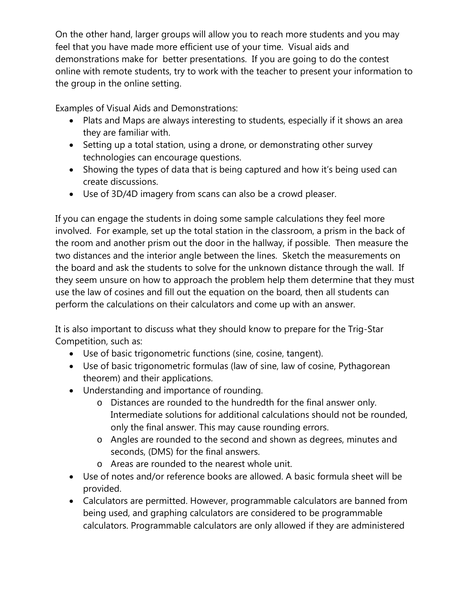On the other hand, larger groups will allow you to reach more students and you may feel that you have made more efficient use of your time. Visual aids and demonstrations make for better presentations. If you are going to do the contest online with remote students, try to work with the teacher to present your information to the group in the online setting.

Examples of Visual Aids and Demonstrations:

- Plats and Maps are always interesting to students, especially if it shows an area they are familiar with.
- Setting up a total station, using a drone, or demonstrating other survey technologies can encourage questions.
- Showing the types of data that is being captured and how it's being used can create discussions.
- Use of 3D/4D imagery from scans can also be a crowd pleaser.

If you can engage the students in doing some sample calculations they feel more involved. For example, set up the total station in the classroom, a prism in the back of the room and another prism out the door in the hallway, if possible. Then measure the two distances and the interior angle between the lines. Sketch the measurements on the board and ask the students to solve for the unknown distance through the wall. If they seem unsure on how to approach the problem help them determine that they must use the law of cosines and fill out the equation on the board, then all students can perform the calculations on their calculators and come up with an answer.

It is also important to discuss what they should know to prepare for the Trig-Star Competition, such as:

- Use of basic trigonometric functions (sine, cosine, tangent).
- Use of basic trigonometric formulas (law of sine, law of cosine, Pythagorean theorem) and their applications.
- Understanding and importance of rounding.
	- o Distances are rounded to the hundredth for the final answer only. Intermediate solutions for additional calculations should not be rounded, only the final answer. This may cause rounding errors.
	- o Angles are rounded to the second and shown as degrees, minutes and seconds, (DMS) for the final answers.
	- o Areas are rounded to the nearest whole unit.
- Use of notes and/or reference books are allowed. A basic formula sheet will be provided.
- Calculators are permitted. However, programmable calculators are banned from being used, and graphing calculators are considered to be programmable calculators. Programmable calculators are only allowed if they are administered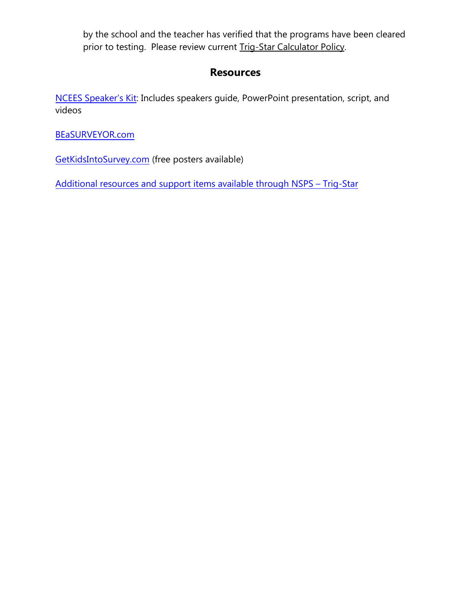by the school and the teacher has verified that the programs have been cleared prior to testing. Please review current Trig-Star Calculator Policy.

#### **Resources**

[NCEES Speaker's](https://ncees.org/education/ncees-speakers-link-and-speakers-kit/) Kit: Includes speakers guide, PowerPoint presentation, script, and videos

[BEaSURVEYOR.com](http://beasurveyor.com/)

[GetKidsIntoSurvey.com](http://www.getkidsintosurvey.com/) (free posters available)

[Additional resources and support items available through NSPS](https://trig-star.com/resources/) – Trig-Star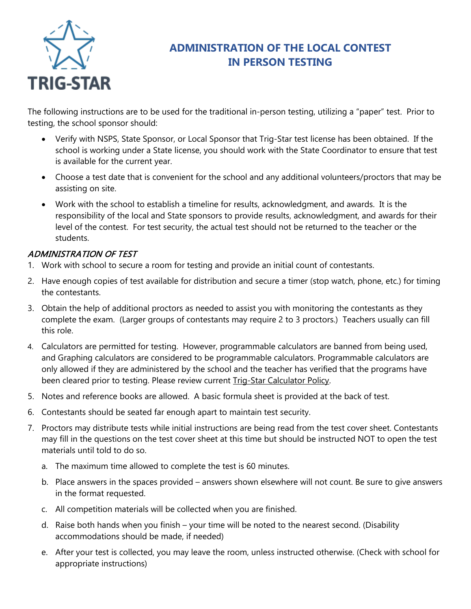

## **ADMINISTRATION OF THE LOCAL CONTEST IN PERSON TESTING**

The following instructions are to be used for the traditional in-person testing, utilizing a "paper" test. Prior to testing, the school sponsor should:

- Verify with NSPS, State Sponsor, or Local Sponsor that Trig-Star test license has been obtained. If the school is working under a State license, you should work with the State Coordinator to ensure that test is available for the current year.
- Choose a test date that is convenient for the school and any additional volunteers/proctors that may be assisting on site.
- Work with the school to establish a timeline for results, acknowledgment, and awards. It is the responsibility of the local and State sponsors to provide results, acknowledgment, and awards for their level of the contest. For test security, the actual test should not be returned to the teacher or the students.

#### ADMINISTRATION OF TEST

- 1. Work with school to secure a room for testing and provide an initial count of contestants.
- 2. Have enough copies of test available for distribution and secure a timer (stop watch, phone, etc.) for timing the contestants.
- 3. Obtain the help of additional proctors as needed to assist you with monitoring the contestants as they complete the exam. (Larger groups of contestants may require 2 to 3 proctors.) Teachers usually can fill this role.
- 4. Calculators are permitted for testing. However, programmable calculators are banned from being used, and Graphing calculators are considered to be programmable calculators. Programmable calculators are only allowed if they are administered by the school and the teacher has verified that the programs have been cleared prior to testing. Please review current Trig-Star Calculator Policy.
- 5. Notes and reference books are allowed. A basic formula sheet is provided at the back of test.
- 6. Contestants should be seated far enough apart to maintain test security.
- 7. Proctors may distribute tests while initial instructions are being read from the test cover sheet. Contestants may fill in the questions on the test cover sheet at this time but should be instructed NOT to open the test materials until told to do so.
	- a. The maximum time allowed to complete the test is 60 minutes.
	- b. Place answers in the spaces provided answers shown elsewhere will not count. Be sure to give answers in the format requested.
	- c. All competition materials will be collected when you are finished.
	- d. Raise both hands when you finish your time will be noted to the nearest second. (Disability accommodations should be made, if needed)
	- e. After your test is collected, you may leave the room, unless instructed otherwise. (Check with school for appropriate instructions)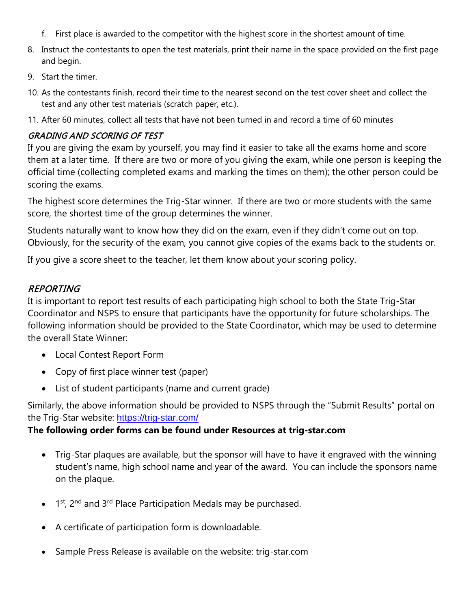- f. First place is awarded to the competitor with the highest score in the shortest amount of time.
- 8. Instruct the contestants to open the test materials, print their name in the space provided on the first page and begin.
- 9. Start the timer.
- 10. As the contestants finish, record their time to the nearest second on the test cover sheet and collect the test and any other test materials (scratch paper, etc.).
- 11. After 60 minutes, collect all tests that have not been turned in and record a time of 60 minutes

#### GRADING AND SCORING OF TEST

If you are giving the exam by yourself, you may find it easier to take all the exams home and score them at a later time. If there are two or more of you giving the exam, while one person is keeping the official time (collecting completed exams and marking the times on them); the other person could be scoring the exams.

The highest score determines the Trig-Star winner. If there are two or more students with the same score, the shortest time of the group determines the winner.

Students naturally want to know how they did on the exam, even if they didn't come out on top. Obviously, for the security of the exam, you cannot give copies of the exams back to the students or.

If you give a score sheet to the teacher, let them know about your scoring policy.

#### REPORTING

It is important to report test results of each participating high school to both the State Trig-Star Coordinator and NSPS to ensure that participants have the opportunity for future scholarships. The following information should be provided to the State Coordinator, which may be used to determine the overall State Winner:

- Local Contest Report Form
- Copy of first place winner test (paper)
- List of student participants (name and current grade)

Similarly, the above information should be provided to NSPS through the "Submit Results" portal on the Trig-Star website: <https://trig-star.com/>

#### **The following order forms can be found under Resources at trig-star.com**

- Trig-Star plaques are available, but the sponsor will have to have it engraved with the winning student's name, high school name and year of the award. You can include the sponsors name on the plaque.
- $1$ <sup>st</sup>, 2<sup>nd</sup> and 3<sup>rd</sup> Place Participation Medals may be purchased.
- A certificate of participation form is downloadable.
- Sample Press Release is available on the website: trig-star.com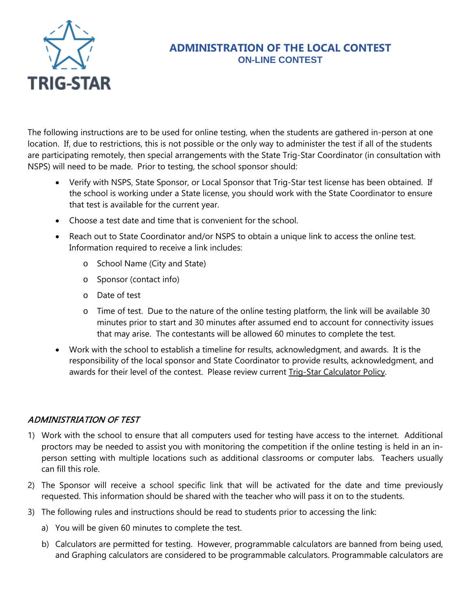

#### **ADMINISTRATION OF THE LOCAL CONTEST ON-LINE CONTEST**

The following instructions are to be used for online testing, when the students are gathered in-person at one location. If, due to restrictions, this is not possible or the only way to administer the test if all of the students are participating remotely, then special arrangements with the State Trig-Star Coordinator (in consultation with NSPS) will need to be made. Prior to testing, the school sponsor should:

- Verify with NSPS, State Sponsor, or Local Sponsor that Trig-Star test license has been obtained. If the school is working under a State license, you should work with the State Coordinator to ensure that test is available for the current year.
- Choose a test date and time that is convenient for the school.
- Reach out to State Coordinator and/or NSPS to obtain a unique link to access the online test. Information required to receive a link includes:
	- o School Name (City and State)
	- o Sponsor (contact info)
	- o Date of test
	- o Time of test. Due to the nature of the online testing platform, the link will be available 30 minutes prior to start and 30 minutes after assumed end to account for connectivity issues that may arise. The contestants will be allowed 60 minutes to complete the test.
- Work with the school to establish a timeline for results, acknowledgment, and awards. It is the responsibility of the local sponsor and State Coordinator to provide results, acknowledgment, and awards for their level of the contest. Please review current Trig-Star Calculator Policy.

#### ADMINISTRIATION OF TEST

- 1) Work with the school to ensure that all computers used for testing have access to the internet. Additional proctors may be needed to assist you with monitoring the competition if the online testing is held in an inperson setting with multiple locations such as additional classrooms or computer labs. Teachers usually can fill this role.
- 2) The Sponsor will receive a school specific link that will be activated for the date and time previously requested. This information should be shared with the teacher who will pass it on to the students.
- 3) The following rules and instructions should be read to students prior to accessing the link:
	- a) You will be given 60 minutes to complete the test.
	- b) Calculators are permitted for testing. However, programmable calculators are banned from being used, and Graphing calculators are considered to be programmable calculators. Programmable calculators are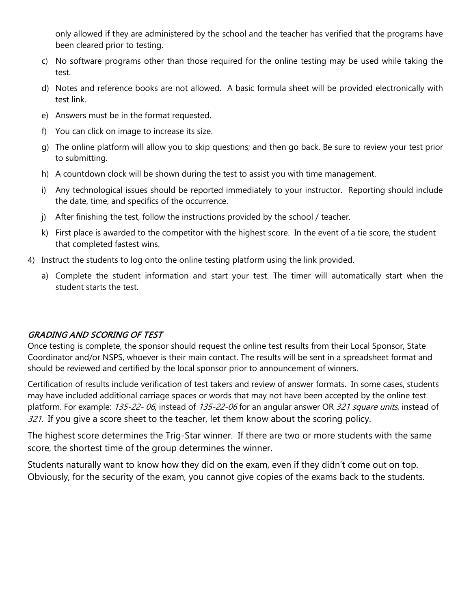only allowed if they are administered by the school and the teacher has verified that the programs have been cleared prior to testing.

- c) No software programs other than those required for the online testing may be used while taking the test.
- d) Notes and reference books are not allowed. A basic formula sheet will be provided electronically with test link.
- e) Answers must be in the format requested.
- f) You can click on image to increase its size.
- g) The online platform will allow you to skip questions; and then go back. Be sure to review your test prior to submitting.
- h) A countdown clock will be shown during the test to assist you with time management.
- i) Any technological issues should be reported immediately to your instructor. Reporting should include the date, time, and specifics of the occurrence.
- j) After finishing the test, follow the instructions provided by the school / teacher.
- k) First place is awarded to the competitor with the highest score. In the event of a tie score, the student that completed fastest wins.
- 4) Instruct the students to log onto the online testing platform using the link provided.
	- a) Complete the student information and start your test. The timer will automatically start when the student starts the test.

#### GRADING AND SCORING OF TEST

Once testing is complete, the sponsor should request the online test results from their Local Sponsor, State Coordinator and/or NSPS, whoever is their main contact. The results will be sent in a spreadsheet format and should be reviewed and certified by the local sponsor prior to announcement of winners.

Certification of results include verification of test takers and review of answer formats. In some cases, students may have included additional carriage spaces or words that may not have been accepted by the online test platform. For example: 135-22-06, instead of 135-22-06 for an angular answer OR 321 square units, instead of 321. If you give a score sheet to the teacher, let them know about the scoring policy.

The highest score determines the Trig-Star winner. If there are two or more students with the same score, the shortest time of the group determines the winner.

Students naturally want to know how they did on the exam, even if they didn't come out on top. Obviously, for the security of the exam, you cannot give copies of the exams back to the students.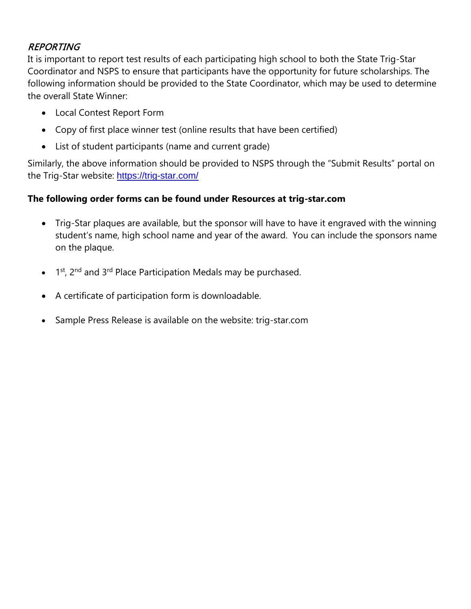#### REPORTING

It is important to report test results of each participating high school to both the State Trig-Star Coordinator and NSPS to ensure that participants have the opportunity for future scholarships. The following information should be provided to the State Coordinator, which may be used to determine the overall State Winner:

- Local Contest Report Form
- Copy of first place winner test (online results that have been certified)
- List of student participants (name and current grade)

Similarly, the above information should be provided to NSPS through the "Submit Results" portal on the Trig-Star website: <https://trig-star.com/>

#### **The following order forms can be found under Resources at trig-star.com**

- Trig-Star plaques are available, but the sponsor will have to have it engraved with the winning student's name, high school name and year of the award. You can include the sponsors name on the plaque.
- 1<sup>st</sup>, 2<sup>nd</sup> and 3<sup>rd</sup> Place Participation Medals may be purchased.
- A certificate of participation form is downloadable.
- Sample Press Release is available on the website: trig-star.com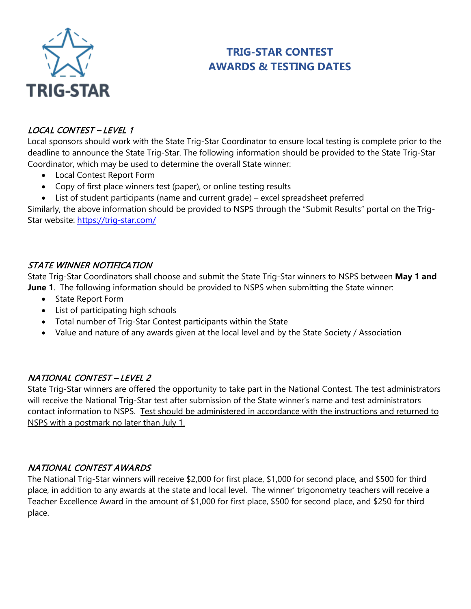

# **TRIG-STAR CONTEST AWARDS & TESTING DATES**

#### LOCAL CONTEST – LEVEL 1

Local sponsors should work with the State Trig-Star Coordinator to ensure local testing is complete prior to the deadline to announce the State Trig-Star. The following information should be provided to the State Trig-Star Coordinator, which may be used to determine the overall State winner:

- Local Contest Report Form
- Copy of first place winners test (paper), or online testing results
- List of student participants (name and current grade) excel spreadsheet preferred

Similarly, the above information should be provided to NSPS through the "Submit Results" portal on the Trig-Star website:<https://trig-star.com/>

#### STATE WINNER NOTIFICATION

State Trig-Star Coordinators shall choose and submit the State Trig-Star winners to NSPS between **May 1 and June 1**. The following information should be provided to NSPS when submitting the State winner:

- State Report Form
- List of participating high schools
- Total number of Trig-Star Contest participants within the State
- Value and nature of any awards given at the local level and by the State Society / Association

#### NATIONAL CONTEST – LEVEL 2

State Trig-Star winners are offered the opportunity to take part in the National Contest. The test administrators will receive the National Trig-Star test after submission of the State winner's name and test administrators contact information to NSPS. Test should be administered in accordance with the instructions and returned to NSPS with a postmark no later than July 1.

#### NATIONAL CONTEST AWARDS

The National Trig-Star winners will receive \$2,000 for first place, \$1,000 for second place, and \$500 for third place, in addition to any awards at the state and local level. The winner' trigonometry teachers will receive a Teacher Excellence Award in the amount of \$1,000 for first place, \$500 for second place, and \$250 for third place.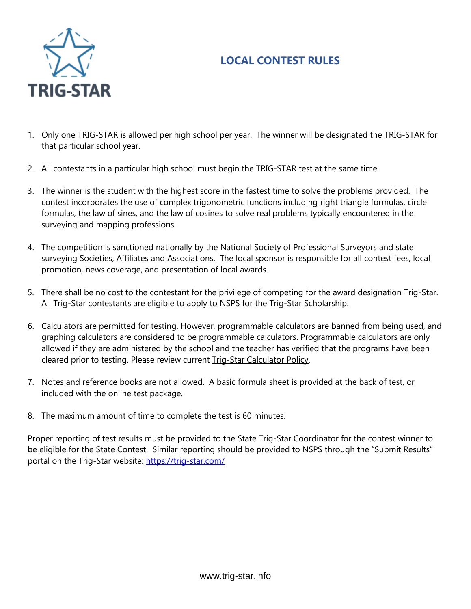# **LOCAL CONTEST RULES**



- 1. Only one TRIG-STAR is allowed per high school per year. The winner will be designated the TRIG-STAR for that particular school year.
- 2. All contestants in a particular high school must begin the TRIG-STAR test at the same time.
- 3. The winner is the student with the highest score in the fastest time to solve the problems provided. The contest incorporates the use of complex trigonometric functions including right triangle formulas, circle formulas, the law of sines, and the law of cosines to solve real problems typically encountered in the surveying and mapping professions.
- 4. The competition is sanctioned nationally by the National Society of Professional Surveyors and state surveying Societies, Affiliates and Associations. The local sponsor is responsible for all contest fees, local promotion, news coverage, and presentation of local awards.
- 5. There shall be no cost to the contestant for the privilege of competing for the award designation Trig-Star. All Trig-Star contestants are eligible to apply to NSPS for the Trig-Star Scholarship.
- 6. Calculators are permitted for testing. However, programmable calculators are banned from being used, and graphing calculators are considered to be programmable calculators. Programmable calculators are only allowed if they are administered by the school and the teacher has verified that the programs have been cleared prior to testing. Please review current Trig-Star Calculator Policy.
- 7. Notes and reference books are not allowed. A basic formula sheet is provided at the back of test, or included with the online test package.
- 8. The maximum amount of time to complete the test is 60 minutes.

Proper reporting of test results must be provided to the State Trig-Star Coordinator for the contest winner to be eligible for the State Contest. Similar reporting should be provided to NSPS through the "Submit Results" portal on the Trig-Star website: https://trig-star.com/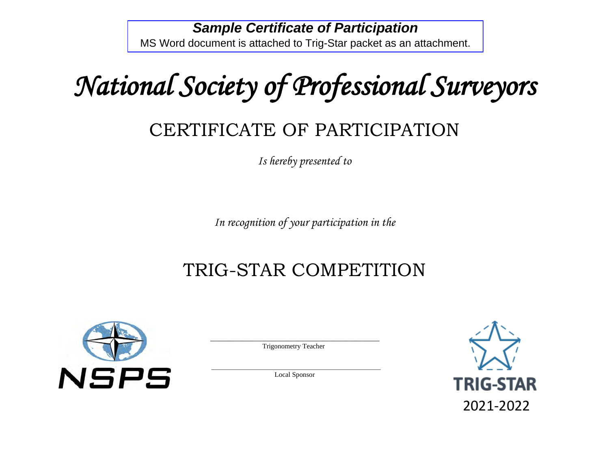# **Sample Certificate of Participation** MS Word document is attached to Trig-Star packet as an attachment.

*National Society of Professional Surveyors* 

# CERTIFICATE OF PARTICIPATION

*Is hereby presented to*

*In recognition of your participation in the*

# TRIG-STAR COMPETITION



 \_\_\_\_\_\_\_\_\_\_\_\_\_\_\_\_\_\_\_\_\_\_\_\_\_\_\_\_\_\_\_\_\_\_\_\_\_\_\_\_\_\_\_\_ Trigonometry Teacher

 $\frac{1}{2}$  ,  $\frac{1}{2}$  ,  $\frac{1}{2}$  ,  $\frac{1}{2}$  ,  $\frac{1}{2}$  ,  $\frac{1}{2}$  ,  $\frac{1}{2}$  ,  $\frac{1}{2}$  ,  $\frac{1}{2}$  ,  $\frac{1}{2}$  ,  $\frac{1}{2}$  ,  $\frac{1}{2}$  ,  $\frac{1}{2}$  ,  $\frac{1}{2}$  ,  $\frac{1}{2}$  ,  $\frac{1}{2}$  ,  $\frac{1}{2}$  ,  $\frac{1}{2}$  ,  $\frac{1$ Local Sponsor

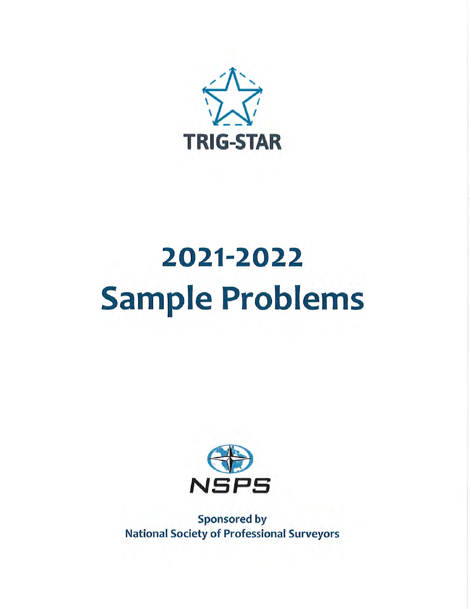

# 2021-2022 **Sample Problems**



**Sponsored by National Society of Professional Surveyors**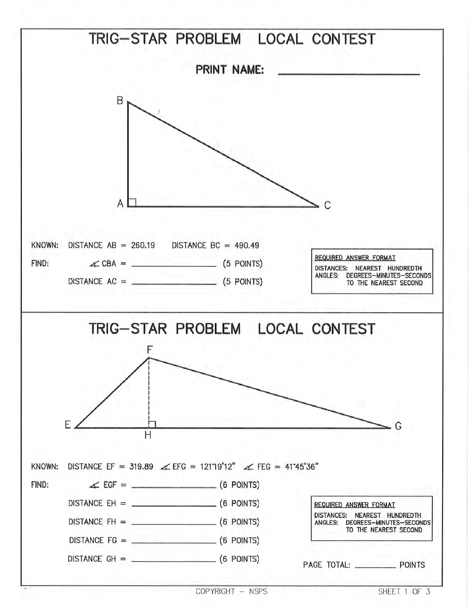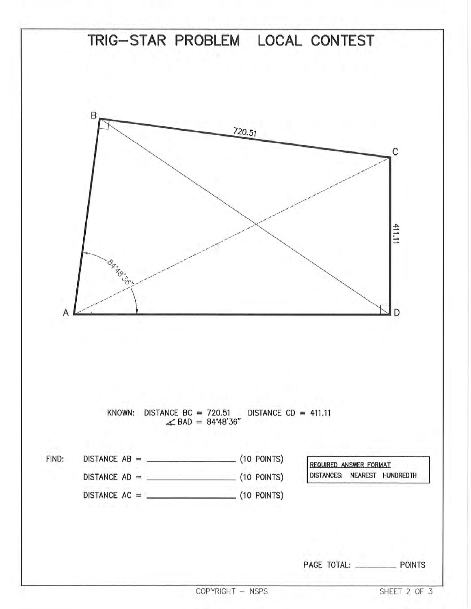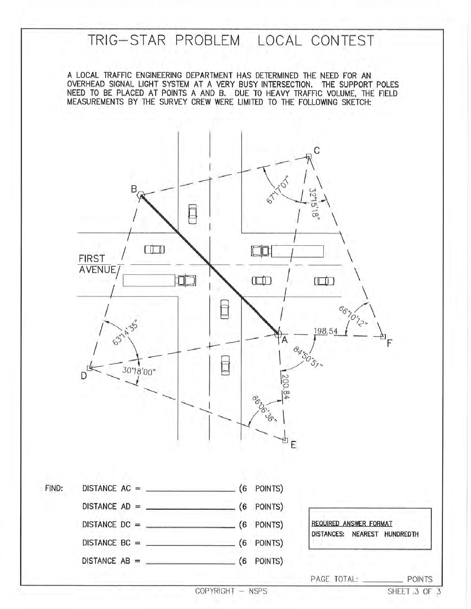# TRIG-STAR PROBLEM LOCAL CONTEST

A LOCAL TRAFFIC ENGINEERING DEPARTMENT HAS DETERMINED THE NEED FOR AN OVERHEAD SIGNAL LIGHT SYSTEM AT A VERY BUSY INTERSECTION. THE SUPPORT POLES NEED TO BE PLACED AT POINTS A AND B. DUE TO HEAVY TRAFFIC VOLUME, THE FIELD MEASUREMENTS BY THE SURVEY CREW WERE LIMITED TO THE FOLLOWING SKETCH:

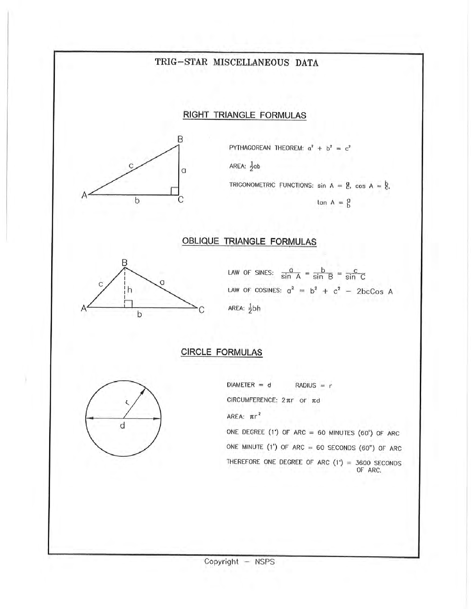